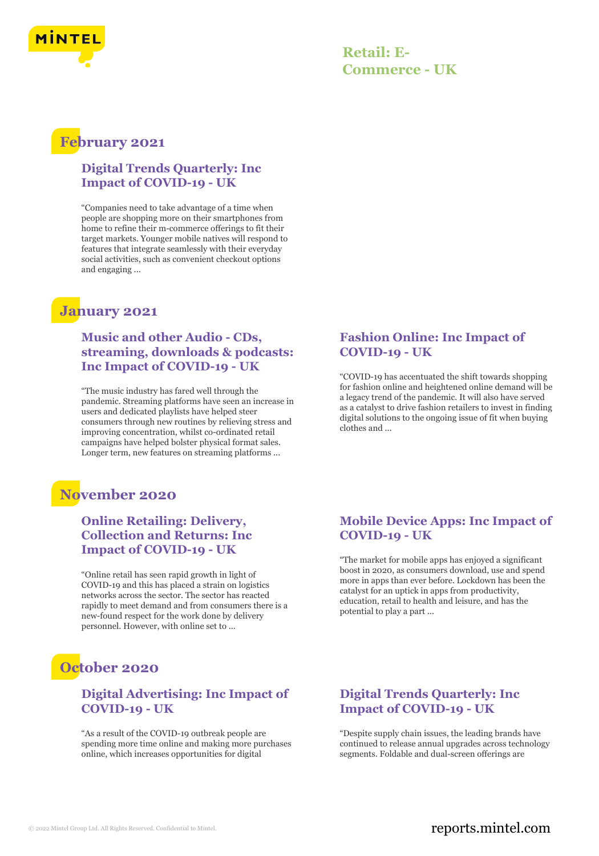

## **Retail: E-Commerce - UK**

## **February 2021**

#### **Digital Trends Quarterly: Inc Impact of COVID-19 - UK**

"Companies need to take advantage of a time when people are shopping more on their smartphones from home to refine their m-commerce offerings to fit their target markets. Younger mobile natives will respond to features that integrate seamlessly with their everyday social activities, such as convenient checkout options and engaging ...

## **January 2021**

#### **Music and other Audio - CDs, streaming, downloads & podcasts: Inc Impact of COVID-19 - UK**

"The music industry has fared well through the pandemic. Streaming platforms have seen an increase in users and dedicated playlists have helped steer consumers through new routines by relieving stress and improving concentration, whilst co-ordinated retail campaigns have helped bolster physical format sales. Longer term, new features on streaming platforms ...

## **November 2020**

### **Online Retailing: Delivery, Collection and Returns: Inc Impact of COVID-19 - UK**

"Online retail has seen rapid growth in light of COVID-19 and this has placed a strain on logistics networks across the sector. The sector has reacted rapidly to meet demand and from consumers there is a new-found respect for the work done by delivery personnel. However, with online set to ...

# **October 2020**

#### **Digital Advertising: Inc Impact of COVID-19 - UK**

"As a result of the COVID-19 outbreak people are spending more time online and making more purchases online, which increases opportunities for digital

### **Fashion Online: Inc Impact of COVID-19 - UK**

"COVID-19 has accentuated the shift towards shopping for fashion online and heightened online demand will be a legacy trend of the pandemic. It will also have served as a catalyst to drive fashion retailers to invest in finding digital solutions to the ongoing issue of fit when buying clothes and ...

#### **Mobile Device Apps: Inc Impact of COVID-19 - UK**

"The market for mobile apps has enjoyed a significant boost in 2020, as consumers download, use and spend more in apps than ever before. Lockdown has been the catalyst for an uptick in apps from productivity, education, retail to health and leisure, and has the potential to play a part ...

#### **Digital Trends Quarterly: Inc Impact of COVID-19 - UK**

"Despite supply chain issues, the leading brands have continued to release annual upgrades across technology segments. Foldable and dual-screen offerings are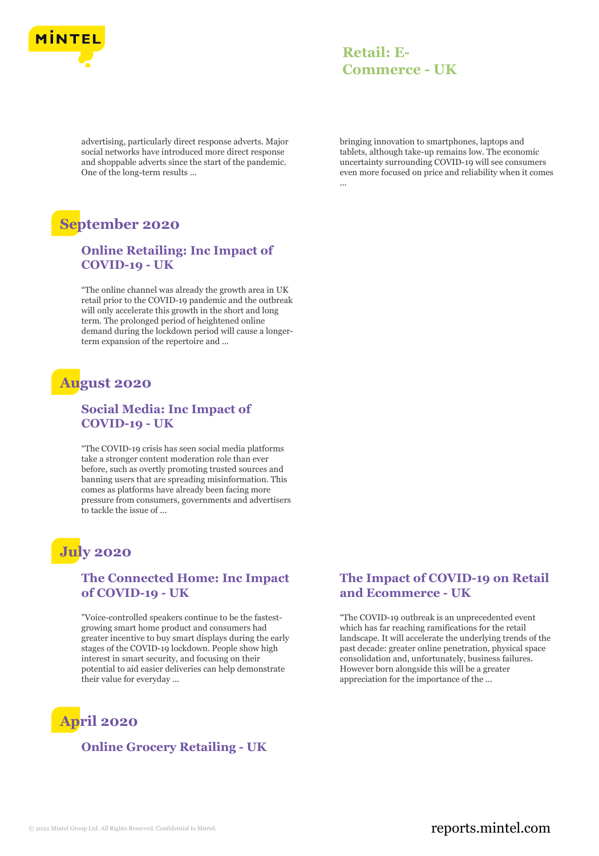

## **Retail: E-Commerce - UK**

advertising, particularly direct response adverts. Major social networks have introduced more direct response and shoppable adverts since the start of the pandemic. One of the long-term results ...

# **September 2020**

#### **Online Retailing: Inc Impact of COVID-19 - UK**

"The online channel was already the growth area in UK retail prior to the COVID-19 pandemic and the outbreak will only accelerate this growth in the short and long term. The prolonged period of heightened online demand during the lockdown period will cause a longerterm expansion of the repertoire and ...

## **August 2020**

#### **Social Media: Inc Impact of COVID-19 - UK**

"The COVID-19 crisis has seen social media platforms take a stronger content moderation role than ever before, such as overtly promoting trusted sources and banning users that are spreading misinformation. This comes as platforms have already been facing more pressure from consumers, governments and advertisers to tackle the issue of ...

# **July 2020**

#### **The Connected Home: Inc Impact of COVID-19 - UK**

"Voice-controlled speakers continue to be the fastestgrowing smart home product and consumers had greater incentive to buy smart displays during the early stages of the COVID-19 lockdown. People show high interest in smart security, and focusing on their potential to aid easier deliveries can help demonstrate their value for everyday ...

# **April 2020**

### **Online Grocery Retailing - UK**

bringing innovation to smartphones, laptops and tablets, although take-up remains low. The economic uncertainty surrounding COVID-19 will see consumers even more focused on price and reliability when it comes ...

#### **The Impact of COVID-19 on Retail and Ecommerce - UK**

"The COVID-19 outbreak is an unprecedented event which has far reaching ramifications for the retail landscape. It will accelerate the underlying trends of the past decade: greater online penetration, physical space consolidation and, unfortunately, business failures. However born alongside this will be a greater appreciation for the importance of the ...